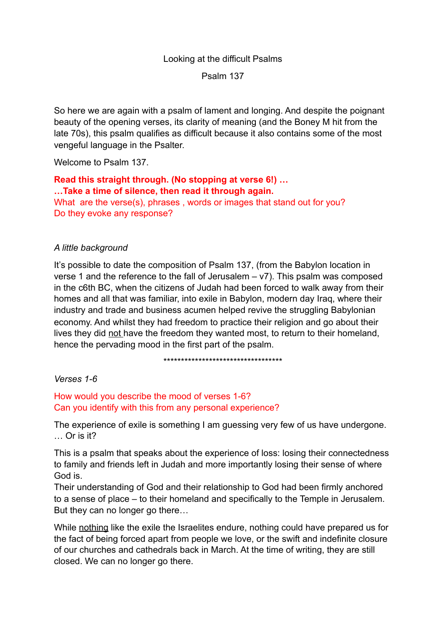# Looking at the difficult Psalms Psalm 137

So here we are again with a psalm of lament and longing. And despite the poignant beauty of the opening verses, its clarity of meaning (and the Boney M hit from the late 70s), this psalm qualifies as difficult because it also contains some of the most vengeful language in the Psalter.

Welcome to Psalm 137.

**Read this straight through. (No stopping at verse 6!) … …Take a time of silence, then read it through again.**  What are the verse(s), phrases, words or images that stand out for you? Do they evoke any response?

# *A little background*

It's possible to date the composition of Psalm 137, (from the Babylon location in verse 1 and the reference to the fall of Jerusalem – v7). This psalm was composed in the c6th BC, when the citizens of Judah had been forced to walk away from their homes and all that was familiar, into exile in Babylon, modern day Iraq, where their industry and trade and business acumen helped revive the struggling Babylonian economy. And whilst they had freedom to practice their religion and go about their lives they did not have the freedom they wanted most, to return to their homeland, hence the pervading mood in the first part of the psalm.

\*\*\*\*\*\*\*\*\*\*\*\*\*\*\*\*\*\*\*\*\*\*\*\*\*\*\*\*\*\*\*\*\*\*

*Verses 1-6* 

How would you describe the mood of verses 1-6? Can you identify with this from any personal experience?

The experience of exile is something I am guessing very few of us have undergone. … Or is it?

This is a psalm that speaks about the experience of loss: losing their connectedness to family and friends left in Judah and more importantly losing their sense of where God is.

Their understanding of God and their relationship to God had been firmly anchored to a sense of place – to their homeland and specifically to the Temple in Jerusalem. But they can no longer go there…

While nothing like the exile the Israelites endure, nothing could have prepared us for the fact of being forced apart from people we love, or the swift and indefinite closure of our churches and cathedrals back in March. At the time of writing, they are still closed. We can no longer go there.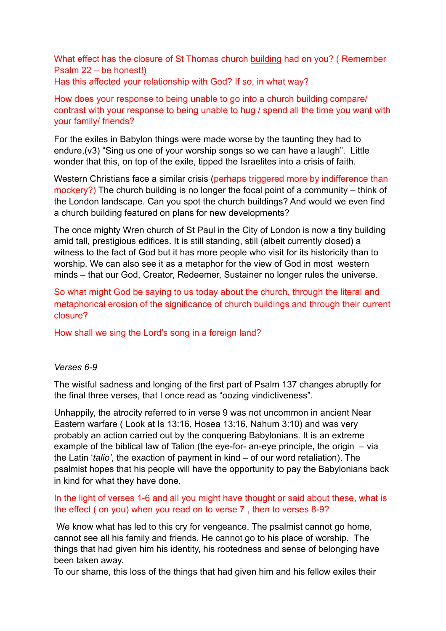What effect has the closure of St Thomas church building had on you? ( Remember Psalm 22 – be honest!)

Has this affected your relationship with God? If so, in what way?

How does your response to being unable to go into a church building compare/ contrast with your response to being unable to hug / spend all the time you want with your family/ friends?

For the exiles in Babylon things were made worse by the taunting they had to endure,(v3) "Sing us one of your worship songs so we can have a laugh". Little wonder that this, on top of the exile, tipped the Israelites into a crisis of faith.

Western Christians face a similar crisis (perhaps triggered more by indifference than mockery?) The church building is no longer the focal point of a community – think of the London landscape. Can you spot the church buildings? And would we even find a church building featured on plans for new developments?

The once mighty Wren church of St Paul in the City of London is now a tiny building amid tall, prestigious edifices. It is still standing, still (albeit currently closed) a witness to the fact of God but it has more people who visit for its historicity than to worship. We can also see it as a metaphor for the view of God in most western minds – that our God, Creator, Redeemer, Sustainer no longer rules the universe.

So what might God be saying to us today about the church, through the literal and metaphorical erosion of the significance of church buildings and through their current closure?

How shall we sing the Lord's song in a foreign land?

# *Verses 6-9*

The wistful sadness and longing of the first part of Psalm 137 changes abruptly for the final three verses, that I once read as "oozing vindictiveness".

Unhappily, the atrocity referred to in verse 9 was not uncommon in ancient Near Eastern warfare ( Look at Is 13:16, Hosea 13:16, Nahum 3:10) and was very probably an action carried out by the conquering Babylonians. It is an extreme example of the biblical law of Talion (the eye-for- an-eye principle, the origin  $-$  via the Latin '*talio'*, the exaction of payment in kind – of our word retaliation). The psalmist hopes that his people will have the opportunity to pay the Babylonians back in kind for what they have done.

## In the light of verses 1-6 and all you might have thought or said about these, what is the effect ( on you) when you read on to verse 7 , then to verses 8-9?

 We know what has led to this cry for vengeance. The psalmist cannot go home, cannot see all his family and friends. He cannot go to his place of worship. The things that had given him his identity, his rootedness and sense of belonging have been taken away.

To our shame, this loss of the things that had given him and his fellow exiles their